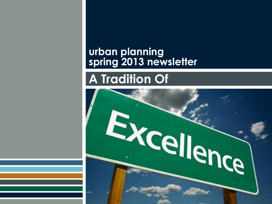### **urban planning spring 2013 newsletter**

# **A Tradition Of**

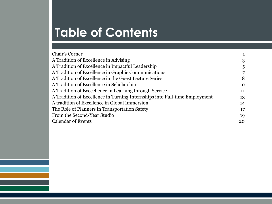# **Table of Contents**

| Chair's Corner                                                             |    |
|----------------------------------------------------------------------------|----|
| A Tradition of Excellence in Advising                                      | 3  |
| A Tradition of Excellence in Impactful Leadership                          | 5  |
| A Tradition of Excellence in Graphic Communications                        | 7  |
| A Tradition of Excellence in the Guest Lecture Series                      | 8  |
| A Tradition of Excellence in Scholarship                                   | 10 |
| A Tradition of Execellence in Learning through Service                     | 11 |
| A Tradition of Excellence in Turning Internships into Full-time Employment | 13 |
| A tradition of Excellence in Global Immersion                              | 14 |
| The Role of Planners in Transportation Safety                              | 17 |
| From the Second-Year Studio                                                | 19 |
| <b>Calendar of Events</b>                                                  | 20 |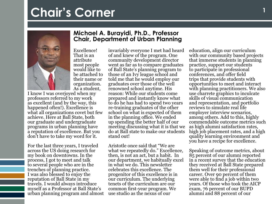# <span id="page-2-0"></span>**Chair's Corner**



Excellence! That is an attribute most people would like to be attached to their name or organization. As a student,

I know I was overjoyed when my professors referred to my work as excellent (and by the way, this happened often!). Excellence is what all organizations covet but few achieve. Here at Ball State, both our graduate and undergraduate programs in urban planning have a reputation of excellence. But you don't have to take my word for it.

For the last three years, I traveled across the US doing research for my book on downtowns. In the process, I got to meet and talk to several people who are in the trenches of planning practice. I was also blessed to enjoy the reputation of Ball State in my travels. I would always introduce myself as a Professor at Ball State's urban planning program and almost

#### **Michael A. Burayidi, Ph.D., Professor Chair, Department of Urban Planning**

invariably everyone I met had heard of and knew of the program. One community development director went as far as to compare graduates of Ball State's planning program to those of an Ivy league school and told me that he would employ our graduates over those of the well renowned school anytime. His reason: While our students come prepared and instantly know what to do he has had to spend two years re-training graduates of the other school on what is expected of them in the planning office. We ended up spending the better half of our meeting discussing what it is that we do at Ball state to make our students stand out!

Aristotle once said that "We are what we repeatedly do." Excellence, then, is not an act, but a habit. In our department, we habitually excel in what we do. This newsletter celebrates this excellence. The progenitor of this excellence is in our curriculum. The underlying tenets of the curriculum are our common first-year program. We use studio as the nexus of our

education, align our curriculum with our community based projects that immerse students in planning practice, support our students to participate in professional conferences, and offer field trips that provide students with opportunities to meet and interact with planning practitioners. We also use charrete graphics to inculcate skills of visual communication and representation, and portfolio reviews to simulate real life employer interview scenarios, among others. Add to this, highly commendable outcome metrics such as high alumni satisfaction rates, high job placement rates, and a high quality learning environment and you have a recipe for excellence.

Speaking of outcome metrics, about 85 percent of our alumni reported in a recent survey that the education they received at Ball State prepared them well for their professional career. Over 90 percent of them were able to find a job within two years. Of those who took the AICP exam, 76 percent of our BUPD alumni and 88 percent of our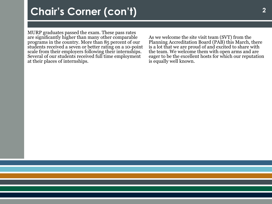## **Chair's Corner (con't) <sup>2</sup>**

MURP graduates passed the exam. These pass rates are significantly higher than many other comparable programs in the country. More than 85 percent of our students received a seven or better rating on a 10-point scale from their employers following their internships. Several of our students received full time employment at their places of internships.

As we welcome the site visit team (SVT) from the Planning Accreditation Board (PAB) this March, there is a lot that we are proud of and excited to share with the team. We welcome them with open arms and are eager to be the excellent hosts for which our reputation is equally well known.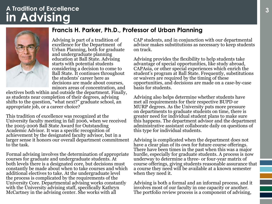### <span id="page-4-0"></span>**in Advising A Tradition of Excellence**



Advising is part of a tradition of excellence for the Department of Urban Planning, both for graduate and undergraduate planning education at Ball State. Advising starts with potential students considering a decision to come to Ball State. It continues throughout the students' career here as decisions are made about courses, minors areas of concentration, and

**Francis H. Parker, Ph.D., Professor of Urban Planning**

electives both within and outside the department. Finally, as students near completion of their degrees, advising shifts to the question, "what next?" graduate school, an appropriate job, or a career choice?

This tradition of excellence was recognized at the University faculty meeting in fall 2006, when we received the 2005-2006 Ball State Award for Outstanding Academic Advisor. It was a specific recognition of achievement by the designated faculty advisor, but in a larger sense it honors our overall department commitment to the task.

Formal advising involves the determination of appropriate courses for graduate and undergraduate students. At both levels there is a designated core, but decisions must constantly be made about when to take courses and which additional electives to take. At the undergraduate level the process is complicated by the requirements of the University Core. Departmental advising works constantly with the University advising staff, specifically Kathryn McCartney in the advising center. She works with all

CAP students, and in conjunction with our departmental advisor makes substitutions as necessary to keep students on track.

Advising provides the flexibility to help students take advantage of special opportunities, like study abroad, CAPAsia, or other special experiences which enrich the student's program at Ball State. Frequently, substitutions or waivers are required by the timing of these opportunities, and decisions are made on a case-by-case basis for students.

Advising also helps determine whether students have met all requirements for their respective BUPD or MURP degrees. As the University puts more pressure on departments to graduate students on time, there is greater need for individual student plans to make sure this happens. The department advisor and the department administrative assistant collaborate daily on questions of this type for individual students.

Advising is complicated when the department does not have a clear plan of its own for future course offerings. There have been times in the past when this was a major hurdle, especially for graduate students. A process is now underway to determine a three- or four-year matrix of course offerings, giving students reasonable assurance that a course they need will be available at a known semester when they need it.

Advising is both a formal and an informal process, and it involves most of our faculty in one capacity or another. The portfolio review process is a component of advising,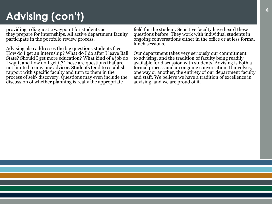## **Advising (con't)**

providing a diagnostic waypoint for students as they prepare for internships. All active department faculty participate in the portfolio review process.

Advising also addresses the big questions students face: How do I get an internship? What do I do after I leave Ball State? Should I get more education? What kind of a job do I want, and how do I get it? These are questions that are not limited to any one advisor. Students tend to establish rapport with specific faculty and turn to them in the process of self- discovery. Questions may even include the discussion of whether planning is really the appropriate

field for the student. Sensitive faculty have heard these questions before. They work with individual students in ongoing conversations either in the office or at less formal lunch sessions.

Our department takes very seriously our commitment to advising, and the tradition of faculty being readily available for discussion with students. Advising is both a formal process and an ongoing conversation. It involves, one way or another, the entirety of our department faculty and staff. We believe we have a tradition of excellence in advising, and we are proud of it.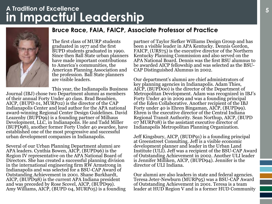### <span id="page-6-0"></span>**in Impactful Leadership A Tradition of Excellence**



The first class of MURP students graduated in 1977 and the first BUPD students graduated in 1990. Since then Ball State urban planners have made important contributions to America's communities, the

**Bruce Race, FAIA, FAICP, Associate Professor of Practice**

American Planning Association and the profession. Ball State planners are visible leaders.

This year, the Indianapolis Business Journal (IBJ) chose two Department alumni as members of their annual Forty Under 40 class. Brad Beaubien, AICP, (BUPD 01, MURP02) is the director of the CAP Indianapolis Center and lead author for the APA national award-winning Regional Center Design Guidelines. David Leazenby (BUPD99) is a founding partner of Milhaus Development, LLC, in Indianapolis. He and Tadd Miller (BUPD98), another former Forty Under 40 awardee, have established one of the most progressive and successful urban development companies in Indianapolis.

Several of our Urban Planning Department alumni are APA leaders. Cynthia Bowen, AICP, (BUPD96) is the Region IV representative on the APA National Board of Directors. She has created a successful planning division in the international engineering firm RW Armstrong in Indianapolis and was selected for a BSU-CAP Award of Outstanding Achievement in 2001. Shane Burkhardt, AICP, (BUPD98) is the current APA Indiana president and was preceded by Rose Scovel, AICP, (BUPD99). Amy Williams, AICP, (BUPD 04, MURP05) is a founding partner of Taylor Siefker Williams Design Group and has been a visible leader in APA Kentucky. Dennis Gordon, FAICP, (URS75) is the executive director of the Northern Kentucky Planning Commission and also served on the APA National Board. Dennis was the first BSU alumnus to be awarded AICP fellowship and was selected as the BSU-CAP Distinguished Alumnus in 2002.

Our department's alumni are chief administrators of key planning agencies in Indianapolis. Adam Thies, AICP, (BUPD00) is the director of the Department of Metropolitan Development. Adam was recognized in IBJ's Forty Under 40 in 2009 and was a founding principal of the Eden Collaborative. Another recipient of the IBJ Forty under 40 is Ehren Bingaman, AICP, (BUPD99). Ehren is the executive director of the Central Indiana Regional Transit Authority. Sean Northup, AICP, (BUPD 07 MURP08) is the assistant executive director of Indianapolis Metropolitan Planning Organization.

Jeff Kingsbury, AICP, (BUDP91) is a founding principal at Greenstreet Consulting. Jeff is a visible economic development planner and leader in the Urban Land Institute (ULI). Jeff was a recipient of the BSU-CAP Award of Outstanding Achievement in 2002. Another ULI leader is Jennifer Milliken, AICP, (BUPD94). Jennifer is the director of ULI Indiana.

Our alumni are also leaders in state and federal agencies. Teresa Jeter-Newburn (MURP95) was a BSU-CAP Award of Outstanding Achievement in 2001. Teresa is a team leader at HUD Region V and is a former HUD Community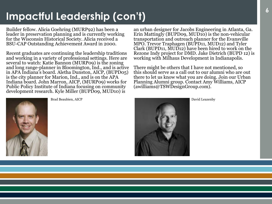## **Impactful Leadership (con't)**

Builder fellow. Alicia Goehring (MURP92) has been a leader in preservation planning and is currently working for the Wisconsin Historical Society. Alicia received a BSU-CAP Outstanding Achievement Award in 2000.

Recent graduates are continuing the leadership traditions and working in a variety of professional settings. Here are several to watch: Katie Bannon (MURP09) is the zoning and long range-planner in Bloomington, Ind., and is active in APA Indiana's board. Aletha Dunston, AICP, (BUPD05) is the city planner for Marion, Ind., and is on the APA Indiana board. John Marron, AICP, (MURP09) works for Public Policy Institute of Indiana focusing on community development research. Kyle Miller (BUPD09, MUD10) is

an urban designer for Jacobs Engineering in Atlanta, Ga. Erin Mattingly (BUPD09, MUD10) is the non-vehicular transportation and outreach planner for the Evansville MPO. Trevor Traphagen (BUPD11, MUD12) and Tyler Clark (BUPD11, MUD12) have been hired to work on the Rezone Indy project for DMD. Jake Dietrich (BUPD 12) is working with Milhaus Development in Indianapolis.

There might be others that I have not mentioned, so this should serve as a call out to our alumni who are out there to let us know what you are doing. Join our Urban Planning Alumni group. Contact Amy Williams, AICP (awilliams@TSWDesignGroup.com).



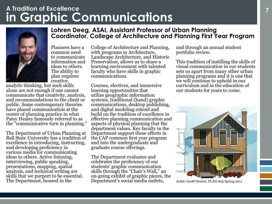### <span id="page-8-0"></span>**in Graphic Communications A Tradition of Excellence**



Planners have a common need to communicate information and ideas to others. The ability to plan requires creative,

analytic thinking, but such skills alone are not enough if one cannot communicate that creativity, analysis, and recommendations to the client or public. Some contemporary theories have placed communication at the center of planning practice in what Patsy Healey famously referred to as the "communicative turn in planning."

The Department of Urban Planning at Ball State University has a tradition of excellence in introducing, instructing, and developing proficiency in various media for communicating ideas to others. Active listening, interviewing, public speaking, presentations, mapping, spatial analysis, and technical writing are skills that we purport to be essential. The Department, housed in the

College of Architecture and Planning, with programs in Architecture, Landscape Architecture, and Historic Preservation, allows us to share a learning environment with talented faculty who have skills in graphic communications.

**Lohren Deeg, ASAI, Assistant Professor of Urban Planning**

**Coordinator, College of Architecture and Planning First Year Program** 

Courses, electives, and immersive learning opportunities that utilize geographic information systems, traditional (hand) graphic communications, desktop publishing, and digital modeling extend and build on the tradition of excellence in effective planning communication and aspects of physical planning that the department values. Key faculty in the Department support these efforts in the CAP common first year program and into the undergraduate and graduate course offerings.

The Department evaluates and celebrates the proficiency of our students' graphic communication skills through the "Chair's Wall," an on-going exhibit of graphic pieces, the Department's social media outlets,

and through an annual student portfolio review.

This tradition of instilling the skills of visual communication in our students sets us apart from many other urban planning programs and it is one that we will continue to uphold in our curriculum and in the education of our students for years to come.



Artist: Geoff Desmit, PLAN 605 Spring 2011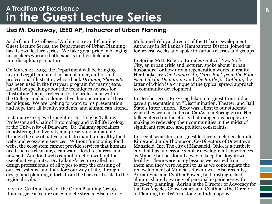### <span id="page-9-0"></span>**in the Guest Lecture Series A Tradition of Excellence**

#### **Lisa M. Dunaway, LEED AP, Instructor of Urban Planning**

Aside from the College of Architecture and Planning's Guest Lecture Series, the Department of Urban Planning has its own lecture series. We take great pride in bringing in speakers who are both experts in their field and interdisciplinary in nature.

On March 21, 2013, the Department will be bringing in Jim Leggitt, architect, urban planner, author and professional illustrator, whose book *Drawing Shortcuts* has been used in the first year program for many years. He will be speaking about the techniques he uses for illustrating that are relevant to the professions within the College, and also doing a live demonstration of those techniques. We are looking forward to his presentation and hope that all faculty, students, and alumni can attend.

In January 2013, we brought in Dr. Douglas Tallamy, Professor and Chair of Entomology and Wildlife Ecology at the University of Delaware. Dr. Tallamy specializes in bolstering biodiversity and preserving human life through the use of native plants to maintain healthy food webs and ecosystem services. Without functioning food webs, the ecosystem cannot provide services that humans need such as clean air, clean water, food resources, and new soil. And food webs cannot function without the use of native plants. Dr. Tallamy's lecture called on design professionals of all types to stop the crashing of our ecosystems, and therefore our way of life, through design and planning efforts from the backyard scale to the regional scale.

In 2012, Cynthia Hoyle of the Orion Planning Group, Illinois, gave a lecture on complete streets. Also in 2012, Mohamed Yehiya, director of the Urban Development Authority in Sri Lanka's Hambantota District, joined us for several weeks and spoke to various classes and groups.

In Spring 2011, Roberta Brandes Gratz of New York City, an urban critic and lecturer, spoke about "urban husbandry" or how urban regeneration works in reality. Her books are *The Living City, Cities Back from the Edge: New Life for Downtown* and *The Battle for Gotham*, the latter of which is a critique of the typical sprawl approach to community development.

In October 2011, Roxy Gagdekar, our guest from India, gave a presentation on "Discrimination, Theater, and Ball State's Intervention." Roxy was a host to our students when they were in India on CapAsia in Spring 2010. His talk centered on the efforts that indigenous people are making to redevelop their communities in the midst of significant resource and political constraints.

In recent semesters, our guest lecturers included Jennifer Kime and Jamie Thompson, Co-Directors of Downtown Mansfield, Inc. The city of Mansfield, Ohio, is a rustbelt city that has undergone similar development experiences as Muncie but has found a way to keep the downtown healthy. There were many lessons we learned from them and they were helpful to us as we contemplate the redevelopment of Muncie's downtown. Also recently, Adrian Fine and Cynthia Bowen, both distinguished alumni, shared a variety of personal experiences with large-city planning. Adrian is the Director of Advocacy for the Los Angeles Conservancy and Cynthia is the Director of Planning for RW Armstong in Indianapolis.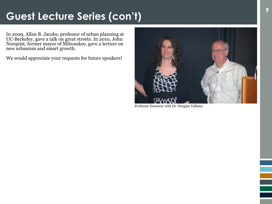## **Guest Lecture Series (con't)**

In 2009, Allan B. Jacobs, professor of urban planning at UC-Berkeley, gave a talk on great streets. In 2010, John Norquist, former mayor of Milwaukee, gave a lecture on new urbanism and smart growth.

We would appreciate your requests for future speakers!



Professor Dunaway with Dr. Douglas Tallamy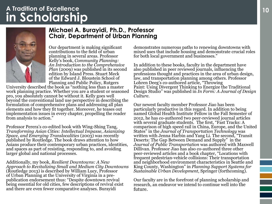### <span id="page-11-0"></span>A iradition of Excellence<br> **in** Scholarship<br>
in Scholarship **A Tradition of Excellence**



#### **Michael A. Burayidi, Ph.D., Professor Chair, Department of Urban Planning**

Our department is making significant contributions to the field of urban planning in several areas. Professor Kelly's book, *Community Planning: An Introduction to the Comprehensive Plan* (2009) was published in its second edition by Island Press. Stuart Meck of the Edward J. Bloustein School of Planning and Public Policy, Rutgers

University described the book as "nothing less than a master work planning practice. Whether you are a student or seasoned pro, you absolutely cannot be without it. Kelly goes well beyond the conventional land use perspective in describing the formulation of comprehensive plans and addressing all plan elements and how they fit together. Moreover, he teases out implementation issues in every chapter, propelling the reader from analysis to action."

Professor Perera's co-edited book with Wing-Shing Tang, *Transforming Asian Cities: Intellectual Impasse, Asianizing Space, and Emerging Translocalities* (2003) was recently published by Routledge. The book draws attention to how Asians produce their contemporary urban practices, identities, and spaces as part of resisting, responding to, and avoiding larger global and national processes.

Additionally, my book, *Resilient Downtowns: A New Approach to Revitalizing Small and Medium City Downtowns*  (Routledge 2013) is described by William Lucy, Professor of Urban Planning at the University of Virginia in a prepublication endorsement thus: "Despite downtown revival being essential for old cities, few descriptions of revival exist and there are even fewer comparative analyses. Burayidi

demonstrates numerous paths to renewing downtowns with mixed uses that include housing and demonstrate crucial roles for both local government and businesses."

In addition to these books, faculty in the department have also published in peer reviewed journals, influencing the professions thought and practices in the area of urban design, law, and transportation planning among others. Professor Lohren Deeg's co-authored article, "Throwing Paint: Using Divergent Thinking to Energize the Traditional Design Studio" was published in *In Form: A Journal of Design Culture*.

Our newest faculty member Professor Jiao has been particularly productive in this regard. In addition to being named Global Health Institute Fellow in the Fall Semester of 2012, he has co-authored two peer-reviewed journal articles with several graduate students. The first, "Fast Tracks: A comparison of high speed rail in China, Europe, and the United States" in the *Journal of Transportation Technology* was written with Jenna Harbin and Yang Li*.* The second, "Transit Deserts: The Gap Between Demand and Supply" in the *Journal of Public Transportation* was authored with Maxwell Dillivan. Professor Jiao has also co-authored three other peer-reviewed articles and a book chapter, "Locations with frequent pedestrian-vehicle collisions: Their transportation and neighborhood environment characteristics in Seattle and King County, Washington" in *Planning Support Systems for Sustainable Urban Development*, Springer (forthcoming).

Our faculty are in the forefront of planning scholarship and research, an endeavor we intend to continue well into the future.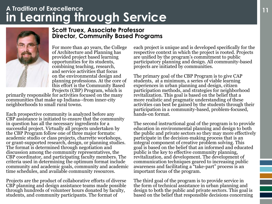### <span id="page-12-0"></span>A Irdainon of Execution centers and **a service** and **in Learning through Service A Tradition of Execellence**



#### **Scott Truex, Associate Professor Director, Community Based Programs**

For more than 40 years, the College of Architecture and Planning has provided project based learning opportunities for its students, combining teaching, research, and service activities that focus on the environmental design and planning professions. At the core of this effort is the Community Based Projects (CBP) Program, which is

primarily responsible for activities focused on the many communities that make up Indiana--from inner-city neighborhoods to small rural towns.

Each prospective community is analyzed before any CBP assistance is initiated to ensure that the community in question has all the necessary ingredients for a successful project. Virtually all projects undertaken by the CBP Program follow one of three major formats: academic studio or class projects, charrette workshops, or grant-supported research, design, or planning studies. The format is determined through negotiation and discussion among the community representatives, the CBP coordinator, and participating faculty members. The criteria used in determining the optimum format include community and academic goals, community and academic time schedules, and available community resources.

Projects are the product of collaborative efforts of diverse CBP planning and design assistance teams made possible through hundreds of volunteer hours donated by faculty, students, and community participants. The format of

each project is unique and is developed specifically for the respective context in which the project is rooted. Projects are unified by the program's commitment to public participatory planning and design. All community-based projects are initiated by communities.

The primary goal of the CBP Program is to give CAP students, at a minimum, a series of viable learning experiences in urban planning and design, citizen participation methods, and strategies for neighborhood revitalization. This goal is based on the belief that a more realistic and pragmatic understanding of these activities can best be gained by the students through their participation in a community-based, problem-focused, hands-on format.

The second instructional goal of the program is to provide education in environmental planning and design to both the public and private sectors so they may more effectively participate in the decision-making process that is an integral component of creative problem solving. This goal is based on the belief that an informed and educated public is the key to effective community planning, revitalization, and development. The development of communication techniques geared to increasing public awareness and facilitating a "take-part" process is an important focus of the program.

The third goal of the program is to provide service in the form of technical assistance in urban planning and design to both the public and private sectors. This goal is based on the belief that responsible decisions concerning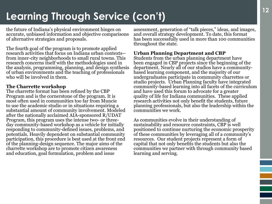# **<sup>12</sup> Learning Through Service (con't)**

the future of Indiana's physical environment hinges on accurate, unbiased information and objective comparisons of alternative strategies and proposals.

The fourth goal of the program is to promote applied research activities that focus on Indiana urban contexts- from inner-city neighborhoods to small rural towns. This research concerns itself with the methodologies used in the analysis, programming, planning, and design synthesis of urban environments and the teaching of professionals who will be involved in them.

#### **The Charrette workshop**

The charrette format has been refined by the CBP Program and is the cornerstone of the program. It is most often used in communities too far from Muncie to use the academic studio or in situations requiring a substantial amount of community involvement. Modeled after the nationally acclaimed AIA-sponsored R/UDAT Program, this program uses the intense two- or threeday community-based workshop as a vehicle for initially responding to community-defined issues, problems, and potentials. Heavily dependent on substantial community participation, this procedure is best used at the front end of the planning-design sequence. The major aims of the charrette workshop are to promote citizen awareness and education, goal formulation, problem and issue

assessment, generation of "talk pieces," ideas, and images, and overall strategy development. To date, this format has been successfully used in more than 100 communities throughout the state.

#### **Urban Planning Department and CBP**

Students from the urban planning department have been engaged in CBP projects since the beginning of the department. Nearly all of our studios have a communitybased learning component, and the majority of our undergraduates participate in community charrettes or studio projects. Urban Planning faculty have integrated community-based learning into all facets of the curriculum and have used this forum to advocate for a greater quality of life for Indiana communities. These applied research activities not only benefit the students, future planning professionals, but also the leadership within the communities we work.

As communities evolve in their understanding of sustainability and resource constraints, CBP is well positioned to continue nurturing the economic prosperity of these communities by leveraging all of a community's resources. Our student projects represent a form of capital that not only benefits the students but also the communities we partner with through community based learning and serving.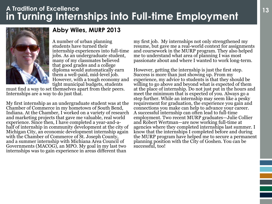### <span id="page-14-0"></span>**<sup>13</sup> in Turning Internships into Full-time Employment A Tradition of Excellence**



### **Abby Wiles, MURP 2013**

A number of urban planning students have turned their internship experiences into full-time jobs. As an undergraduate student, many of my classmates believed that good grades and a college diploma would automatically earn them a well-paid, mid-level job. However, with a tough economy and tight municipal budgets, students

must find a way to set themselves apart from their peers. Internships are a way to do just that.

My first internship as an undergraduate student was at the Chamber of Commerce in my hometown of South Bend, Indiana. At the Chamber, I worked on a variety of research and marketing projects that gave me valuable, real world experience. Since then, I have completed a year-and-ahalf of internship in community development at the city of Michigan City, an economic development internship again with the Chamber of Commerce of St. Joseph County, and a summer internship with Michiana Area Council of Governments (MACOG), an MPO. My goal in my last two internships was to gain experience in areas different than

my first job. My internships not only strengthened my resume, but gave me a real-world context for assignments and coursework in the MURP program. They also helped me to understand what area of planning I was most passionate about and where I wanted to work long-term.

However, getting the internship is just the first step. Success is more than just showing up. From my experience, my advice to students is that they should be willing to go above and beyond what is expected of them at the place of internship. Do not just put in the hours and meet the minimum that is expected of you. Always go a step further. While an internship may seem like a pesky requirement for graduation, the experience you gain and connections you make can help to advance your career. A successful internship can often lead to full-time employment. Two recent MURP graduates—Julie Collier and Robert Wertman—are now working full-time at agencies where they completed internships last summer. I know that the internships I completed before and during the MURP program have helped me to secure a permanent planning position with the City of Goshen. You can be successful, too!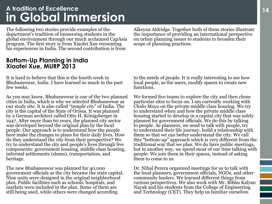### <span id="page-15-0"></span>A fraction of Excellence<br> **in Global Immersion A tradition of Excellence**

The following two stories provide examples of the department's tradition of immersing students in the global environment through our much acclaimed CapAsia program. The first story is from Xiaofei Xue recounting his experiences in India. The second contribution is from

#### **Bottom-Up Planning in India Xiaofei Xue, MURP 2013**

It is hard to believe that this is the fourth week in Bhubaneswar, India. I have learned so much in the past few weeks.

As you may know, Bhubaneswar is one of the two planned cities in India, which is why we selected Bhubaneswar as our study site. It is also called "temple city" of India. The city is the capital of the State of Orissa. It was planned by a German architect called Otto H. Königsberger in 1947. After more than 60 years, the planned city sector was developed beyond the original plan by the local people. Our approach is to understand how the people here make the changes to plans for their daily lives. How do they understand the city from their perspective? We try to understand the city and people's lives through five components: government housing, middle class housing, informal settlements (slums), transportation, and heritage.

The new Bhubaneswar was planned for 40,000 government officials as the city became the state capital. Nine units were designed in the original neighborhood plan. Public facilities such as schools, hospitals, and markets were included in the plan. Some of them are still being used, while others were changed according

Alkeyna Aldridge. Together both of these stories illustrate the importance of providing an international perspective on urban planning issues to students to broaden their scope of planning practices.

to the needs of people. It is really interesting to see how local people, as the users, modify spaces to create new functions.

We formed five teams to explore the city and then chose particular sites to focus on. I am currently working with Chido Moyo on the private middle class housing. We try to understand when and how the private middle class housing started to develop in a capital city that was solely planned for government officials. We do this by talking to people. As planners, we need to talk with people, try to understand their life journey, build a relationship with them so that we can better understand the city. We call this "bottom-up" approach which is very different from the traditional way that we plan. We do have public meetings, but in another way, we spend most of our time talking with people. We join them in their spaces, instead of asking them to come to us.

Dr. Nihal Perera organized meetings for us to talk with the local planners, government officials, NGOs, and other community leaders. We learned different things from various perspectives. We also work with Mr. Bibhu Kalyan Nayak and his students from the College of Engineering and Technology (CET). They help us familiar ourselves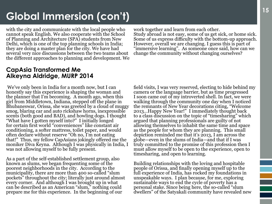# **<sup>15</sup> Global Immersion (con't)**

with the city and communicate with the local people who cannot speak English. We also cooperate with the School of Planning and Architecture (SPA) students from New Delhi, which is one of the top planning schools in India; they are doing a master plan for the city. We have had several very nice discussions between the two teams about the different approaches to planning and development. We

#### **CapAsia Transformed Me Alkeyna Aldridge, MURP 2014**

 We've only been in India for a month now, but I can honestly say this experience is shaping the woman and the planner that I'm becoming. A month ago, when this girl from Middletown, Indiana, stepped off the plane in Bhubaneswar, Orissa, she was greeted by a cloud of muggy smog, blaring car and auto rickshaw horns, inexpressible scents (both good and BAD), and howling dogs. I thought "What have I gotten myself into?" I initially longed for certain first world "conveniences" like constant air conditioning, a softer mattress, toilet paper, and would often declare without reserve "Oh no, I'm not eating that!" Thus, my fellow CapAsians jokingly offered me the moniker Diva Keyna. Although I was physically in India, I was not allowing myself to be fully present.

As a part of the self-established settlement group, also known as slums, we began frequenting some of the poorest neighborhoods in the city. According to the municipality, there are more than 400 so-called "slum pockets" throughout the city; literally just around almost every corner. And although I was brought up in what can be described as an American "slum," nothing could prepare me for this experience. In the beginning of our

work together and learn from each other. Study abroad is not easy, some of us get sick, or home sick. Some of us express difficulty with the bottom-up approach. However, overall we are changing. I guess this is part of "immersive learning". As someone once said, how can we change the community without changing ourselves?

field visits, I was very reserved, electing to hide behind my camera or the language barrier, but as time progressed I soon came out of my introverted shell. In fact, we were walking through the community one day when I noticed the remnants of New Year decorations citing, "Welcome 2013…Happy New Year!" I immediately thought back to a class discussion on the topic of "timesharing" which argued that planning professionals are guilty of not allowing themselves to inhabit the same time and space as the people for whom they are planning. This small depiction reminded me that it's 2013, I am across the globe—even in the slums of India—and that if I was truly committed to the promise of this profession then I must allow myself to be open to the experience, open to timesharing, and open to learning.

Building relationships with the loving and hospitable people of Orissa, and finally opening myself up to the full experience of India, has rocked my foundations in unspeakable ways. I plan because, for me, exploring sustainable ways to end the cycle of poverty has a personal stake. Since being here, the so-called "slum dwellers" of the Satyakali community have revealed new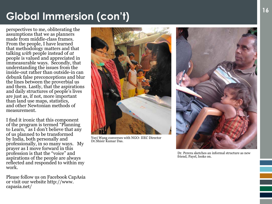# **<sup>16</sup> Global Immersion (con't)**

perspectives to me, obliterating the assumptions that we as planners made from middle-class frames. From the people, I have learned that methodology matters and that talking *with* people instead of *at* people is valued and appreciated in immeasurable ways. Secondly, that understanding the issues from the inside-out rather than outside-in can debunk false preconceptions and blur the lines between the proverbial us and them. Lastly, that the aspirations and daily structures of people's lives are just as, if not, more important than land use maps, statistics, and other Newtonian methods of measurement.

I find it ironic that this component of the program is termed "Planning to Learn," as I don't believe that any of us planned to be transformed by India, both personally and professionally, in so many ways. My prayer as I move forward in this profession is that the "voice" and aspirations of the people are always reflected and responded to within my work.

Please follow us on Facebook CapAsia or visit our website http://www. capasia.net/



Yuyi Wang converses with NGO- IIEC Director Dr.Shisir Kumar Das.



Dr. Perera sketches an informal structure as new friend, Payel, looks on.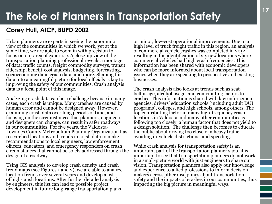### <span id="page-18-0"></span>**Corey Hull, AICP, BUPD 2002**

Urban planners are experts in seeing the panoramic view of the communities in which we work, yet at the same time, we are able to zoom in with precision to focus on our area of expertise. A close-up view of the transportation planning professional reveals a montage of data: traffic counts, freight commodity surveys, transit ridership, benefit-cost analysis, budgeting, forecasting, socioeconomic data, crash data, and more. Shaping this data into a meaningful picture for local officials is key to improving the safety of our communities. Crash analysis data is a focal point of this image.

Analyzing crash data can be a challenge because in many cases, each crash is unique. Many crashes are caused by human error and cannot be designed away. However, examining crash data over long periods of time, and focusing on the circumstances that planners, engineers, and designers can change, can result in safer roadways in our communities. For five years, the Valdosta-Lowndes County Metropolitan Planning Organization has researched locations and trends in crash data to make recommendations to local engineers, law enforcement officers, educators, and emergency responders on crash circumstances that cannot be solely addressed through the design of a roadway.

Using GIS analysis to develop crash density and crash trend maps (see Figures 1 and 2), we are able to analyze location trends over several years and develop a list of high-crash locations. After further detailed analysis by engineers, this list can lead to possible project development in future long-range transportation plans

or minor, low-cost operational improvements. Due to a high level of truck freight traffic in this region, an analysis of commercial vehicle crashes was completed in 2012 resulting in the identification of six new locations where commercial vehicles had high crash frequencies. This information has been shared with economic developers who can be more informed about local transportation issues when they are speaking to prospective and existing businesses.

The crash analysis also looks at trends such as seatbelt usage, alcohol usage, and contributing factors to crashes. This information is shared with law enforcement agencies, drivers' education schools (including adult DUI programs), colleges, and high schools, among others. The top contributing factor in many high-frequency crash locations in Valdosta and many other communities is following too closely, a human factor that does not yield to a design solution. The challenge then becomes to educate the public about driving too closely in heavy traffic, avoiding in-vehicle distractions, and speeding.

While crash analysis for transportation safety is an important part of the transportation planner's job, it is important to see that transportation planners do not work in a small-picture world with just engineers to share our vision. Transportation planners also apply our knowledge and experience to allied professions to inform decision makers across other disciplines about transportation safety and the impacts of crashes in our communities, thus impacting the big picture in meaningful ways.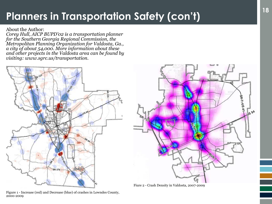# **<sup>18</sup> Planners in Transportation Safety (con't)**

About the Author:

*Corey Hull, AICP BUPD'02 is a transportation planner for the Southern Georgia Regional Commission, the Metropolitan Planning Organization for Valdosta, Ga., a city of about 54,000. More information about these and other projects in the Valdosta area can be found by visiting: www.sgrc.us/transportation.*





Figure 1 - Increase (red) and Decrease (blue) of crashes in Lowndes County, 2000-2009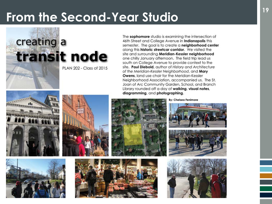# <span id="page-20-0"></span>**<sup>19</sup> From the Second-Year Studio**

transit node

PLAN 202 - Class of 2015

The sophomore studio is examining the intersection of 46th Street and College Avenue in Indianapolis this semester. The goal is to create a neighborhood center along this historic streetcar corridor. We visited the site and surrounding Meridian-Kessler neighborhood one chilly January afternoon. The field trip lead us south on College Avenue to provide context to the site. Paul Diebold, author of History and Architecture of the Meridian-Kessler Neighborhood, and Mary Owens, land use chair for the Meridian-Kessler Neighborhood Association, accompanied us. The St. Joan of Arc Community Garden, School, and Branch Library rounded off a day of walking, visual notes, diagramming, and photographing.



creating a





**By: Chelsea Fenimore**